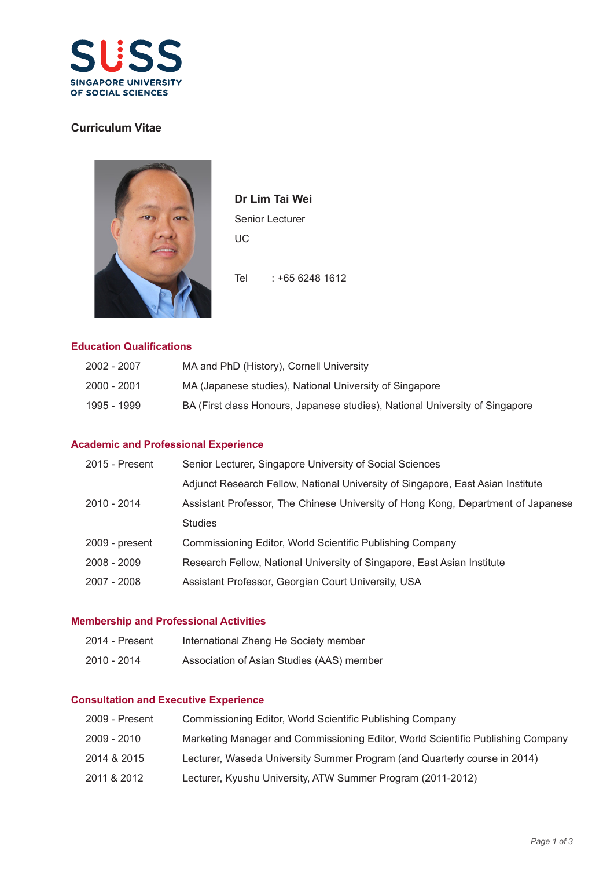

# **Curriculum Vitae**



**Dr Lim Tai Wei** Senior Lecturer UC

Tel : +65 6248 1612

## **Education Qualifications**

| 2002 - 2007 | MA and PhD (History), Cornell University                                     |
|-------------|------------------------------------------------------------------------------|
| 2000 - 2001 | MA (Japanese studies), National University of Singapore                      |
| 1995 - 1999 | BA (First class Honours, Japanese studies), National University of Singapore |

## **Academic and Professional Experience**

| 2015 - Present   | Senior Lecturer, Singapore University of Social Sciences                         |
|------------------|----------------------------------------------------------------------------------|
|                  | Adjunct Research Fellow, National University of Singapore, East Asian Institute  |
| 2010 - 2014      | Assistant Professor, The Chinese University of Hong Kong, Department of Japanese |
|                  | <b>Studies</b>                                                                   |
| $2009$ - present | Commissioning Editor, World Scientific Publishing Company                        |
| 2008 - 2009      | Research Fellow, National University of Singapore, East Asian Institute          |
| 2007 - 2008      | Assistant Professor, Georgian Court University, USA                              |
|                  |                                                                                  |

### **Membership and Professional Activities**

| 2014 - Present | International Zheng He Society member |  |  |  |  |
|----------------|---------------------------------------|--|--|--|--|
|                |                                       |  |  |  |  |

2010 - 2014 Association of Asian Studies (AAS) member

# **Consultation and Executive Experience**

| 2009 - Present | Commissioning Editor, World Scientific Publishing Company                       |
|----------------|---------------------------------------------------------------------------------|
| 2009 - 2010    | Marketing Manager and Commissioning Editor, World Scientific Publishing Company |
| 2014 & 2015    | Lecturer, Waseda University Summer Program (and Quarterly course in 2014)       |
| 2011 & 2012    | Lecturer, Kyushu University, ATW Summer Program (2011-2012)                     |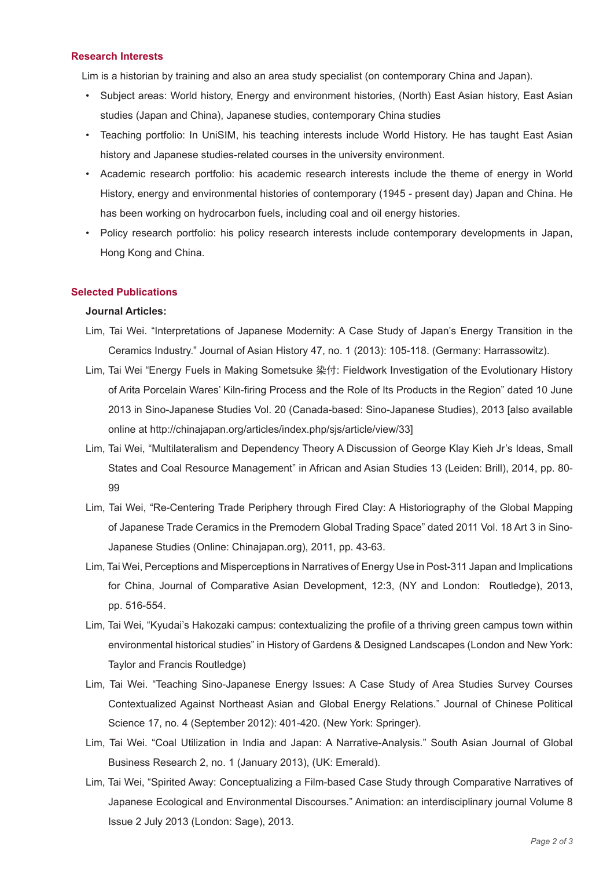#### **Research Interests**

Lim is a historian by training and also an area study specialist (on contemporary China and Japan).

- Subject areas: World history, Energy and environment histories, (North) East Asian history, East Asian studies (Japan and China), Japanese studies, contemporary China studies
- Teaching portfolio: In UniSIM, his teaching interests include World History. He has taught East Asian history and Japanese studies-related courses in the university environment.
- Academic research portfolio: his academic research interests include the theme of energy in World History, energy and environmental histories of contemporary (1945 - present day) Japan and China. He has been working on hydrocarbon fuels, including coal and oil energy histories.
- Policy research portfolio: his policy research interests include contemporary developments in Japan, Hong Kong and China.

### **Selected Publications**

### **Journal Articles:**

- Lim, Tai Wei. "Interpretations of Japanese Modernity: A Case Study of Japan's Energy Transition in the Ceramics Industry." Journal of Asian History 47, no. 1 (2013): 105-118. (Germany: Harrassowitz).
- Lim, Tai Wei "Energy Fuels in Making Sometsuke 染付: Fieldwork Investigation of the Evolutionary History of Arita Porcelain Wares' Kiln-firing Process and the Role of Its Products in the Region" dated 10 June 2013 in Sino-Japanese Studies Vol. 20 (Canada-based: Sino-Japanese Studies), 2013 [also available online at http://chinajapan.org/articles/index.php/sjs/article/view/33]
- Lim, Tai Wei, "Multilateralism and Dependency Theory A Discussion of George Klay Kieh Jr's Ideas, Small States and Coal Resource Management" in African and Asian Studies 13 (Leiden: Brill), 2014, pp. 80- 99
- Lim, Tai Wei, "Re-Centering Trade Periphery through Fired Clay: A Historiography of the Global Mapping of Japanese Trade Ceramics in the Premodern Global Trading Space" dated 2011 Vol. 18 Art 3 in Sino-Japanese Studies (Online: Chinajapan.org), 2011, pp. 43-63.
- Lim, Tai Wei, Perceptions and Misperceptions in Narratives of Energy Use in Post-311 Japan and Implications for China, Journal of Comparative Asian Development, 12:3, (NY and London: Routledge), 2013, pp. 516-554.
- Lim, Tai Wei, "Kyudai's Hakozaki campus: contextualizing the profile of a thriving green campus town within environmental historical studies" in History of Gardens & Designed Landscapes (London and New York: Taylor and Francis Routledge)
- Lim, Tai Wei. "Teaching Sino-Japanese Energy Issues: A Case Study of Area Studies Survey Courses Contextualized Against Northeast Asian and Global Energy Relations." Journal of Chinese Political Science 17, no. 4 (September 2012): 401-420. (New York: Springer).
- Lim, Tai Wei. "Coal Utilization in India and Japan: A Narrative-Analysis." South Asian Journal of Global Business Research 2, no. 1 (January 2013), (UK: Emerald).
- Lim, Tai Wei, "Spirited Away: Conceptualizing a Film-based Case Study through Comparative Narratives of Japanese Ecological and Environmental Discourses." Animation: an interdisciplinary journal Volume 8 Issue 2 July 2013 (London: Sage), 2013.